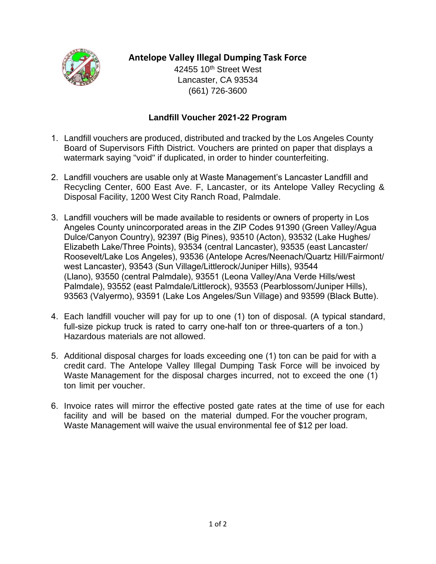

## **Antelope Valley Illegal Dumping Task Force**

42455 10<sup>th</sup> Street West Lancaster, CA 93534 (661) 726-3600

## **Landfill Voucher 2021-22 Program**

- 1. Landfill vouchers are produced, distributed and tracked by the Los Angeles County Board of Supervisors Fifth District. Vouchers are printed on paper that displays a watermark saying "void" if duplicated, in order to hinder counterfeiting.
- 2. Landfill vouchers are usable only at Waste Management's Lancaster Landfill and Recycling Center, 600 East Ave. F, Lancaster, or its Antelope Valley Recycling & Disposal Facility, 1200 West City Ranch Road, Palmdale.
- 3. Landfill vouchers will be made available to residents or owners of property in Los Angeles County unincorporated areas in the ZIP Codes 91390 (Green Valley/Agua Dulce/Canyon Country), 92397 (Big Pines), 93510 (Acton), 93532 (Lake Hughes/ Elizabeth Lake/Three Points), 93534 (central Lancaster), 93535 (east Lancaster/ Roosevelt/Lake Los Angeles), 93536 (Antelope Acres/Neenach/Quartz Hill/Fairmont/ west Lancaster), 93543 (Sun Village/Littlerock/Juniper Hills), 93544 (Llano), 93550 (central Palmdale), 93551 (Leona Valley/Ana Verde Hills/west Palmdale), 93552 (east Palmdale/Littlerock), 93553 (Pearblossom/Juniper Hills), 93563 (Valyermo), 93591 (Lake Los Angeles/Sun Village) and 93599 (Black Butte).
- 4. Each landfill voucher will pay for up to one (1) ton of disposal. (A typical standard, full-size pickup truck is rated to carry one-half ton or three-quarters of a ton.) Hazardous materials are not allowed.
- 5. Additional disposal charges for loads exceeding one (1) ton can be paid for with a credit card. The Antelope Valley Illegal Dumping Task Force will be invoiced by Waste Management for the disposal charges incurred, not to exceed the one (1) ton limit per voucher.
- 6. Invoice rates will mirror the effective posted gate rates at the time of use for each facility and will be based on the material dumped. For the voucher program, Waste Management will waive the usual environmental fee of \$12 per load.